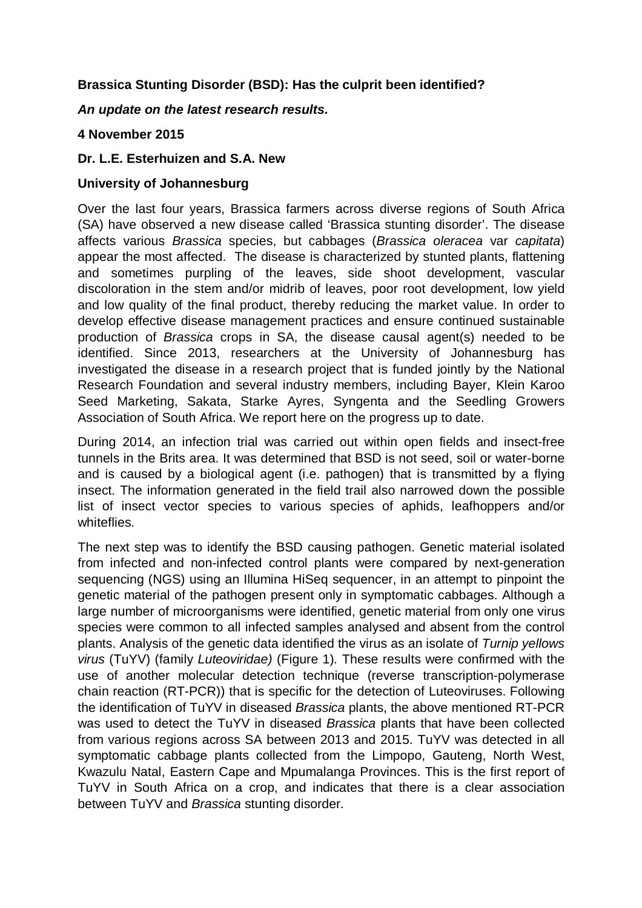# **Brassica Stunting Disorder (BSD): Has the culprit been identified?**

## *An update on the latest research results.*

# **4 November 2015**

## **Dr. L.E. Esterhuizen and S.A. New**

## **University of Johannesburg**

Over the last four years, Brassica farmers across diverse regions of South Africa (SA) have observed a new disease called 'Brassica stunting disorder'. The disease affects various *Brassica* species, but cabbages (*Brassica oleracea* var *capitata*) appear the most affected. The disease is characterized by stunted plants, flattening and sometimes purpling of the leaves, side shoot development, vascular discoloration in the stem and/or midrib of leaves, poor root development, low yield and low quality of the final product, thereby reducing the market value. In order to develop effective disease management practices and ensure continued sustainable production of *Brassica* crops in SA, the disease causal agent(s) needed to be identified. Since 2013, researchers at the University of Johannesburg has investigated the disease in a research project that is funded jointly by the National Research Foundation and several industry members, including Bayer, Klein Karoo Seed Marketing, Sakata, Starke Ayres, Syngenta and the Seedling Growers Association of South Africa. We report here on the progress up to date.

During 2014, an infection trial was carried out within open fields and insect-free tunnels in the Brits area. It was determined that BSD is not seed, soil or water-borne and is caused by a biological agent (i.e. pathogen) that is transmitted by a flying insect. The information generated in the field trail also narrowed down the possible list of insect vector species to various species of aphids, leafhoppers and/or whiteflies.

The next step was to identify the BSD causing pathogen. Genetic material isolated from infected and non-infected control plants were compared by next-generation sequencing (NGS) using an Illumina HiSeq sequencer, in an attempt to pinpoint the genetic material of the pathogen present only in symptomatic cabbages. Although a large number of microorganisms were identified, genetic material from only one virus species were common to all infected samples analysed and absent from the control plants. Analysis of the genetic data identified the virus as an isolate of *Turnip yellows virus* (TuYV) (family *Luteoviridae)* (Figure 1)*.* These results were confirmed with the use of another molecular detection technique (reverse transcription-polymerase chain reaction (RT-PCR)) that is specific for the detection of Luteoviruses. Following the identification of TuYV in diseased *Brassica* plants, the above mentioned RT-PCR was used to detect the TuYV in diseased *Brassica* plants that have been collected from various regions across SA between 2013 and 2015. TuYV was detected in all symptomatic cabbage plants collected from the Limpopo, Gauteng, North West, Kwazulu Natal, Eastern Cape and Mpumalanga Provinces. This is the first report of TuYV in South Africa on a crop, and indicates that there is a clear association between TuYV and *Brassica* stunting disorder.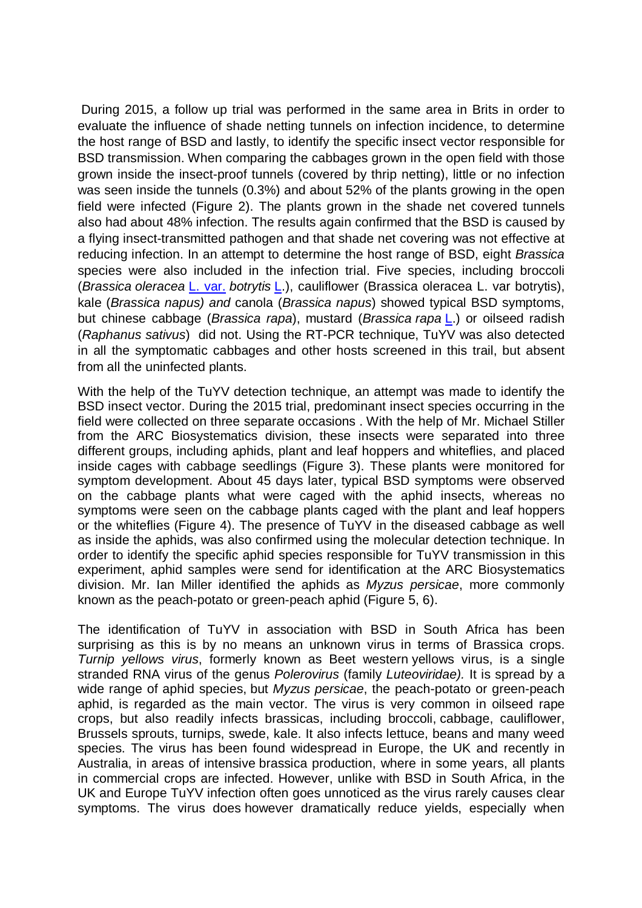During 2015, a follow up trial was performed in the same area in Brits in order to evaluate the influence of shade netting tunnels on infection incidence, to determine the host range of BSD and lastly, to identify the specific insect vector responsible for BSD transmission. When comparing the cabbages grown in the open field with those grown inside the insect-proof tunnels (covered by thrip netting), little or no infection was seen inside the tunnels (0.3%) and about 52% of the plants growing in the open field were infected (Figure 2). The plants grown in the shade net covered tunnels also had about 48% infection. The results again confirmed that the BSD is caused by a flying insect-transmitted pathogen and that shade net covering was not effective at reducing infection. In an attempt to determine the host range of BSD, eight *Brassica* species were also included in the infection trial. Five species, including broccoli (*Brassica oleracea* L. var. *botrytis* L.), cauliflower (Brassica oleracea L. var botrytis), kale (*Brassica napus) and* canola (*Brassica napus*) showed typical BSD symptoms, but chinese cabbage (*Brassica rapa*), mustard (*Brassica rapa* L.) or oilseed radish (*Raphanus sativus*) did not. Using the RT-PCR technique, TuYV was also detected in all the symptomatic cabbages and other hosts screened in this trail, but absent from all the uninfected plants.

With the help of the TuYV detection technique, an attempt was made to identify the BSD insect vector. During the 2015 trial, predominant insect species occurring in the field were collected on three separate occasions . With the help of Mr. Michael Stiller from the ARC Biosystematics division, these insects were separated into three different groups, including aphids, plant and leaf hoppers and whiteflies, and placed inside cages with cabbage seedlings (Figure 3). These plants were monitored for symptom development. About 45 days later, typical BSD symptoms were observed on the cabbage plants what were caged with the aphid insects, whereas no symptoms were seen on the cabbage plants caged with the plant and leaf hoppers or the whiteflies (Figure 4). The presence of TuYV in the diseased cabbage as well as inside the aphids, was also confirmed using the molecular detection technique. In order to identify the specific aphid species responsible for TuYV transmission in this experiment, aphid samples were send for identification at the ARC Biosystematics division. Mr. Ian Miller identified the aphids as *Myzus persicae*, more commonly known as the peach-potato or green-peach aphid (Figure 5, 6).

The identification of TuYV in association with BSD in South Africa has been surprising as this is by no means an unknown virus in terms of Brassica crops. *Turnip yellows virus*, formerly known as Beet western yellows virus, is a single stranded RNA virus of the genus *Polerovirus* (family *Luteoviridae).* It is spread by a wide range of aphid species, but *Myzus persicae*, the peach-potato or green-peach aphid, is regarded as the main vector. The virus is very common in oilseed rape crops, but also readily infects brassicas, including broccoli, cabbage, cauliflower, Brussels sprouts, turnips, swede, kale. It also infects lettuce, beans and many weed species. The virus has been found widespread in Europe, the UK and recently in Australia, in areas of intensive brassica production, where in some years, all plants in commercial crops are infected. However, unlike with BSD in South Africa, in the UK and Europe TuYV infection often goes unnoticed as the virus rarely causes clear symptoms. The virus does however dramatically reduce yields, especially when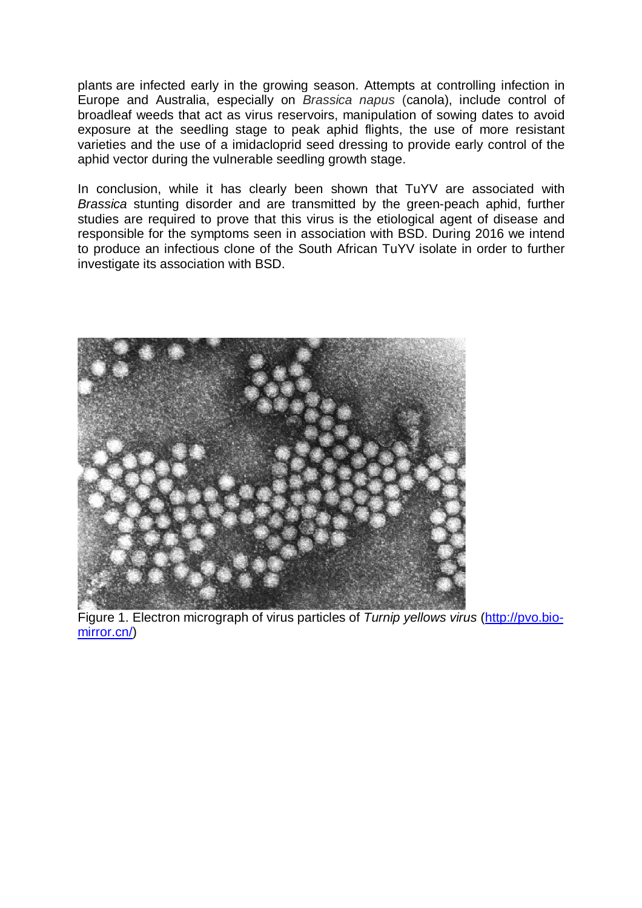plants are infected early in the growing season. Attempts at controlling infection in Europe and Australia, especially on *Brassica napus* (canola), include control of broadleaf weeds that act as virus reservoirs, manipulation of sowing dates to avoid exposure at the seedling stage to peak aphid flights, the use of more resistant varieties and the use of a imidacloprid seed dressing to provide early control of the aphid vector during the vulnerable seedling growth stage.

In conclusion, while it has clearly been shown that TuYV are associated with *Brassica* stunting disorder and are transmitted by the green-peach aphid, further studies are required to prove that this virus is the etiological agent of disease and responsible for the symptoms seen in association with BSD. During 2016 we intend to produce an infectious clone of the South African TuYV isolate in order to further investigate its association with BSD.



Figure 1. Electron micrograph of virus particles of *Turnip yellows virus* (http://pvo.biomirror.cn/)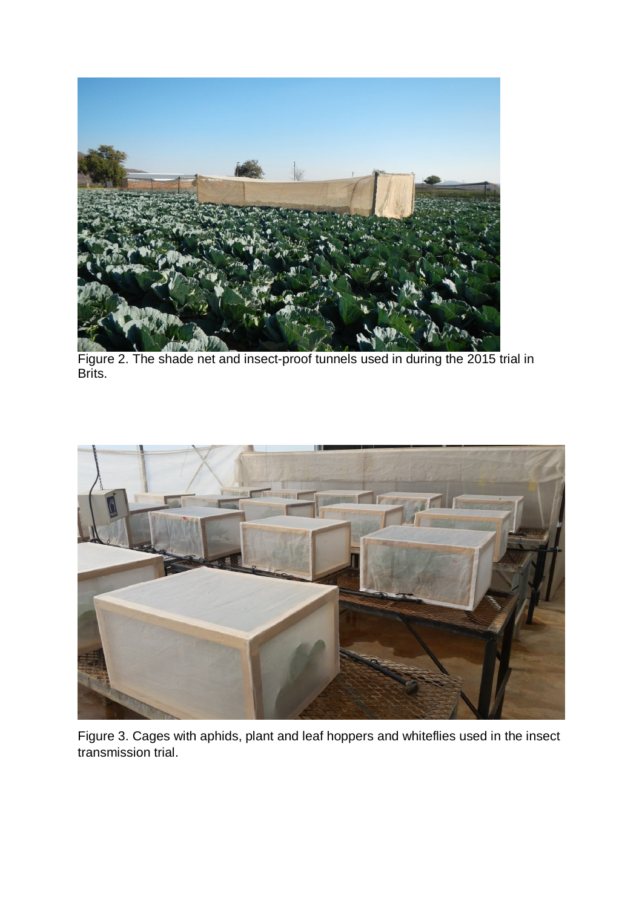

Figure 2. The shade net and insect-proof tunnels used in during the 2015 trial in Brits.

![](_page_3_Picture_2.jpeg)

Figure 3. Cages with aphids, plant and leaf hoppers and whiteflies used in the insect transmission trial.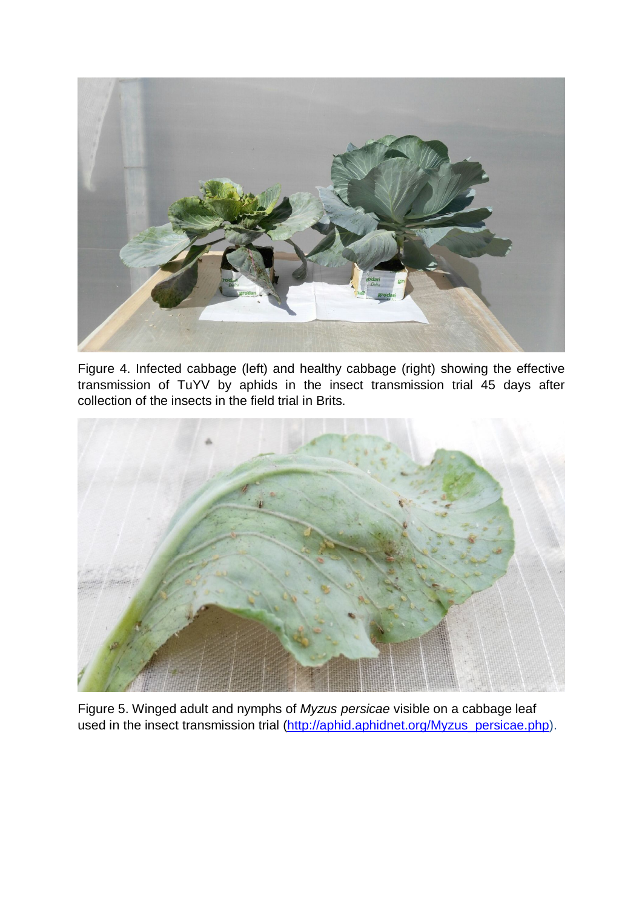![](_page_4_Picture_0.jpeg)

Figure 4. Infected cabbage (left) and healthy cabbage (right) showing the effective transmission of TuYV by aphids in the insect transmission trial 45 days after collection of the insects in the field trial in Brits.

![](_page_4_Picture_2.jpeg)

Figure 5. Winged adult and nymphs of *Myzus persicae* visible on a cabbage leaf used in the insect transmission trial (http://aphid.aphidnet.org/Myzus\_persicae.php).